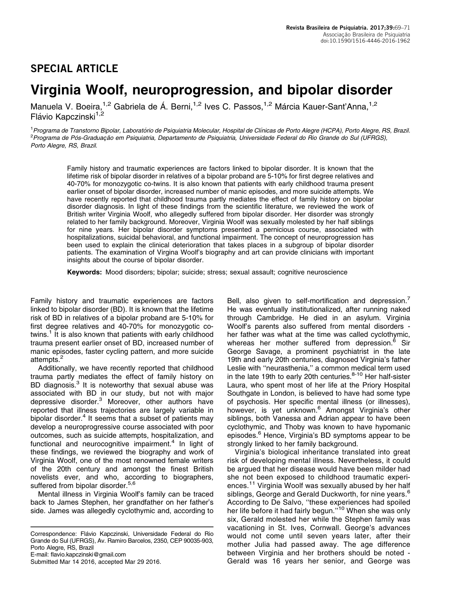## SPECIAL ARTICLE

# Virginia Woolf, neuroprogression, and bipolar disorder

Manuela V. Boeira,<sup>1,2</sup> Gabriela de Á. Berni,<sup>1,2</sup> Ives C. Passos,<sup>1,2</sup> Márcia Kauer-Sant'Anna,<sup>1,2</sup> Flávio Kapczinski<sup>1,2</sup>

<sup>1</sup> Programa de Transtorno Bipolar, Laboratório de Psiquiatria Molecular, Hospital de Clínicas de Porto Alegre (HCPA), Porto Alegre, RS, Brazil. <sup>2</sup> Programa de Pós-Graduação em Psiquiatria, Departamento de Psiquiatria, Universidade Federal do Rio Grande do Sul (UFRGS), Porto Alegre, RS, Brazil.

Family history and traumatic experiences are factors linked to bipolar disorder. It is known that the lifetime risk of bipolar disorder in relatives of a bipolar proband are 5-10% for first degree relatives and 40-70% for monozygotic co-twins. It is also known that patients with early childhood trauma present earlier onset of bipolar disorder, increased number of manic episodes, and more suicide attempts. We have recently reported that childhood trauma partly mediates the effect of family history on bipolar disorder diagnosis. In light of these findings from the scientific literature, we reviewed the work of British writer Virginia Woolf, who allegedly suffered from bipolar disorder. Her disorder was strongly related to her family background. Moreover, Virginia Woolf was sexually molested by her half siblings for nine years. Her bipolar disorder symptoms presented a pernicious course, associated with hospitalizations, suicidal behavioral, and functional impairment. The concept of neuroprogression has been used to explain the clinical deterioration that takes places in a subgroup of bipolar disorder patients. The examination of Virgina Woolf's biography and art can provide clinicians with important insights about the course of bipolar disorder.

Keywords: Mood disorders; bipolar; suicide; stress; sexual assault; cognitive neuroscience

Family history and traumatic experiences are factors linked to bipolar disorder (BD). It is known that the lifetime risk of BD in relatives of a bipolar proband are 5-10% for first degree relatives and 40-70% for monozygotic cotwins.<sup>1</sup> It is also known that patients with early childhood trauma present earlier onset of BD, increased number of manic episodes, faster cycling pattern, and more suicide attempts.<sup>2</sup>

Additionally, we have recently reported that childhood trauma partly mediates the effect of family history on BD diagnosis.<sup>3</sup> It is noteworthy that sexual abuse was associated with BD in our study, but not with major depressive disorder.<sup>3</sup> Moreover, other authors have reported that illness trajectories are largely variable in bipolar disorder.<sup>4</sup> It seems that a subset of patients may develop a neuroprogressive course associated with poor outcomes, such as suicide attempts, hospitalization, and functional and neurocognitive impairment.<sup>4</sup> In light of these findings, we reviewed the biography and work of Virginia Woolf, one of the most renowned female writers of the 20th century and amongst the finest British novelists ever, and who, according to biographers, suffered from bipolar disorder.<sup>5,6</sup>

Mental illness in Virginia Woolf's family can be traced back to James Stephen, her grandfather on her father's side. James was allegedly cyclothymic and, according to

Correspondence: Flávio Kapczinski, Universidade Federal do Rio Grande do Sul (UFRGS), Av. Ramiro Barcelos, 2350, CEP 90035-903, Porto Alegre, RS, Brazil E-mail: flavio.kapczinski@gmail.com

Submitted Mar 14 2016, accepted Mar 29 2016.

Bell, also given to self-mortification and depression.<sup>7</sup> He was eventually institutionalized, after running naked through Cambridge. He died in an asylum. Virginia Woolf's parents also suffered from mental disorders her father was what at the time was called cyclothymic, whereas her mother suffered from depression.<sup>6</sup> Sir George Savage, a prominent psychiatrist in the late 19th and early 20th centuries, diagnosed Virginia's father Leslie with ''neurasthenia,'' a common medical term used in the late 19th to early 20th centuries. $8-10$  Her half-sister Laura, who spent most of her life at the Priory Hospital Southgate in London, is believed to have had some type of psychosis. Her specific mental illness (or illnesses), however, is yet unknown.6 Amongst Virginia's other siblings, both Vanessa and Adrian appear to have been cyclothymic, and Thoby was known to have hypomanic episodes.6 Hence, Virginia's BD symptoms appear to be strongly linked to her family background.

Virginia's biological inheritance translated into great risk of developing mental illness. Nevertheless, it could be argued that her disease would have been milder had she not been exposed to childhood traumatic experiences.<sup>11</sup> Virginia Woolf was sexually abused by her half siblings, George and Gerald Duckworth, for nine years.<sup>6</sup> According to De Salvo, ''these experiences had spoiled her life before it had fairly begun."<sup>10</sup> When she was only six, Gerald molested her while the Stephen family was vacationing in St. Ives, Cornwall. George's advances would not come until seven years later, after their mother Julia had passed away. The age difference between Virginia and her brothers should be noted - Gerald was 16 years her senior, and George was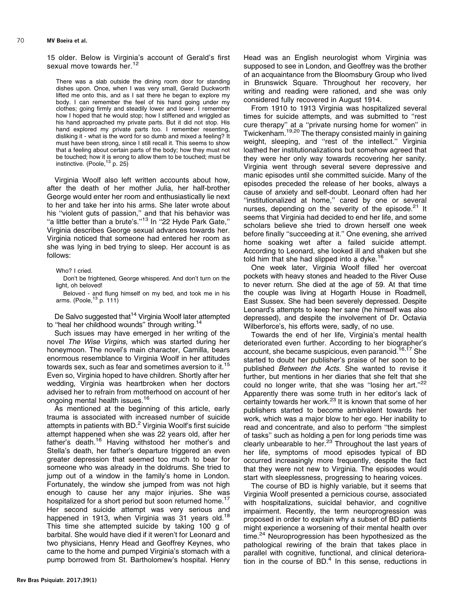15 older. Below is Virginia's account of Gerald's first sexual move towards her.<sup>12</sup>

There was a slab outside the dining room door for standing dishes upon. Once, when I was very small, Gerald Duckworth lifted me onto this, and as I sat there he began to explore my body. I can remember the feel of his hand going under my clothes; going firmly and steadily lower and lower. I remember how I hoped that he would stop; how I stiffened and wriggled as his hand approached my private parts. But it did not stop. His hand explored my private parts too. I remember resenting, disliking it - what is the word for so dumb and mixed a feeling? It must have been strong, since I still recall it. This seems to show that a feeling about certain parts of the body; how they must not be touched; how it is wrong to allow them to be touched; must be instinctive. (Poole,  $13$  p. 25)

Virginia Woolf also left written accounts about how, after the death of her mother Julia, her half-brother George would enter her room and enthusiastically lie next to her and take her into his arms. She later wrote about his "violent guts of passion," and that his behavior was ''a little better than a brute's.''<sup>13</sup> In ''22 Hyde Park Gate,'' Virginia describes George sexual advances towards her. Virginia noticed that someone had entered her room as she was lying in bed trying to sleep. Her account is as follows:

### Who? I cried.

Don't be frightened, George whispered. And don't turn on the light, oh beloved!

Beloved - and flung himself on my bed, and took me in his arms. (Poole,  $13$  p. 111)

De Salvo suggested that<sup>14</sup> Virginia Woolf later attempted to "heal her childhood wounds" through writing.<sup>14</sup>

Such issues may have emerged in her writing of the novel The Wise Virgins, which was started during her honeymoon. The novel's main character, Camilla, bears enormous resemblance to Virginia Woolf in her attitudes towards sex, such as fear and sometimes aversion to it.<sup>15</sup> Even so, Virginia hoped to have children. Shortly after her wedding, Virginia was heartbroken when her doctors advised her to refrain from motherhood on account of her ongoing mental health issues.16

As mentioned at the beginning of this article, early trauma is associated with increased number of suicide attempts in patients with  $BD<sup>2</sup>$  Virginia Woolf's first suicide attempt happened when she was 22 years old, after her father's death.16 Having withstood her mother's and Stella's death, her father's departure triggered an even greater depression that seemed too much to bear for someone who was already in the doldrums. She tried to jump out of a window in the family's home in London. Fortunately, the window she jumped from was not high enough to cause her any major injuries. She was hospitalized for a short period but soon returned home.<sup>17</sup> Her second suicide attempt was very serious and happened in 1913, when Virginia was 31 years old.<sup>18</sup> This time she attempted suicide by taking 100 g of barbital. She would have died if it weren't for Leonard and two physicians, Henry Head and Geoffrey Keynes, who came to the home and pumped Virginia's stomach with a pump borrowed from St. Bartholomew's hospital. Henry

Head was an English neurologist whom Virginia was supposed to see in London, and Geoffrey was the brother of an acquaintance from the Bloomsbury Group who lived in Brunswick Square. Throughout her recovery, her writing and reading were rationed, and she was only considered fully recovered in August 1914.

From 1910 to 1913 Virginia was hospitalized several times for suicide attempts, and was submitted to ''rest cure therapy'' at a ''private nursing home for women'' in Twickenham.19,20 The therapy consisted mainly in gaining weight, sleeping, and "rest of the intellect." Virginia loathed her institutionalizations but somehow agreed that they were her only way towards recovering her sanity. Virginia went through several severe depressive and manic episodes until she committed suicide. Many of the episodes preceded the release of her books, always a cause of anxiety and self-doubt. Leonard often had her ''institutionalized at home,'' cared by one or several nurses, depending on the severity of the episode. $21$  It seems that Virginia had decided to end her life, and some scholars believe she tried to drown herself one week before finally ''succeeding at it.'' One evening, she arrived home soaking wet after a failed suicide attempt. According to Leonard, she looked ill and shaken but she told him that she had slipped into a dyke.<sup>16</sup>

One week later, Virginia Woolf filled her overcoat pockets with heavy stones and headed to the River Ouse to never return. She died at the age of 59. At that time the couple was living at Hogarth House in Roadmell, East Sussex. She had been severely depressed. Despite Leonard's attempts to keep her sane (he himself was also depressed), and despite the involvement of Dr. Octavia Wilberforce's, his efforts were, sadly, of no use.

Towards the end of her life, Virginia's mental health deteriorated even further. According to her biographer's account, she became suspicious, even paranoid.<sup>16,17</sup> She started to doubt her publisher's praise of her soon to be published Between the Acts. She wanted to revise it further, but mentions in her diaries that she felt that she could no longer write, that she was "losing her art."<sup>22</sup> Apparently there was some truth in her editor's lack of certainty towards her work.<sup>23</sup> It is known that some of her publishers started to become ambivalent towards her work, which was a major blow to her ego. Her inability to read and concentrate, and also to perform ''the simplest of tasks'' such as holding a pen for long periods time was clearly unbearable to her.<sup>23</sup> Throughout the last years of her life, symptoms of mood episodes typical of BD occurred increasingly more frequently, despite the fact that they were not new to Virginia. The episodes would start with sleeplessness, progressing to hearing voices.

The course of BD is highly variable, but it seems that Virginia Woolf presented a pernicious course, associated with hospitalizations, suicidal behavior, and cognitive impairment. Recently, the term neuroprogression was proposed in order to explain why a subset of BD patients might experience a worsening of their mental health over time.<sup>24</sup> Neuroprogression has been hypothesized as the pathological rewiring of the brain that takes place in parallel with cognitive, functional, and clinical deterioration in the course of  $BD$ <sup>4</sup>. In this sense, reductions in